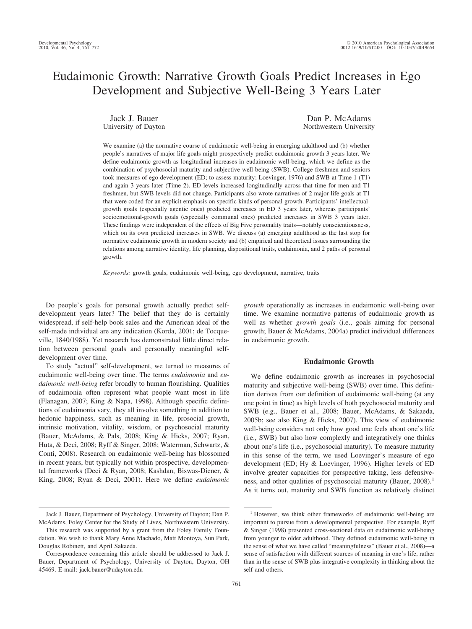# Eudaimonic Growth: Narrative Growth Goals Predict Increases in Ego Development and Subjective Well-Being 3 Years Later

Jack J. Bauer University of Dayton

Dan P. McAdams Northwestern University

We examine (a) the normative course of eudaimonic well-being in emerging adulthood and (b) whether people's narratives of major life goals might prospectively predict eudaimonic growth 3 years later. We define eudaimonic growth as longitudinal increases in eudaimonic well-being, which we define as the combination of psychosocial maturity and subjective well-being (SWB). College freshmen and seniors took measures of ego development (ED; to assess maturity; Loevinger, 1976) and SWB at Time 1 (T1) and again 3 years later (Time 2). ED levels increased longitudinally across that time for men and T1 freshmen, but SWB levels did not change. Participants also wrote narratives of 2 major life goals at T1 that were coded for an explicit emphasis on specific kinds of personal growth. Participants' intellectualgrowth goals (especially agentic ones) predicted increases in ED 3 years later, whereas participants' socioemotional-growth goals (especially communal ones) predicted increases in SWB 3 years later. These findings were independent of the effects of Big Five personality traits—notably conscientiousness, which on its own predicted increases in SWB. We discuss (a) emerging adulthood as the last stop for normative eudaimonic growth in modern society and (b) empirical and theoretical issues surrounding the relations among narrative identity, life planning, dispositional traits, eudaimonia, and 2 paths of personal growth.

*Keywords:* growth goals, eudaimonic well-being, ego development, narrative, traits

Do people's goals for personal growth actually predict selfdevelopment years later? The belief that they do is certainly widespread, if self-help book sales and the American ideal of the self-made individual are any indication (Korda, 2001; de Tocqueville, 1840/1988). Yet research has demonstrated little direct relation between personal goals and personally meaningful selfdevelopment over time.

To study "actual" self-development, we turned to measures of eudaimonic well-being over time. The terms *eudaimonia* and *eudaimonic well-being* refer broadly to human flourishing. Qualities of eudaimonia often represent what people want most in life (Flanagan, 2007; King & Napa, 1998). Although specific definitions of eudaimonia vary, they all involve something in addition to hedonic happiness, such as meaning in life, prosocial growth, intrinsic motivation, vitality, wisdom, or psychosocial maturity (Bauer, McAdams, & Pals, 2008; King & Hicks, 2007; Ryan, Huta, & Deci, 2008; Ryff & Singer, 2008; Waterman, Schwartz, & Conti, 2008). Research on eudaimonic well-being has blossomed in recent years, but typically not within prospective, developmental frameworks (Deci & Ryan, 2008; Kashdan, Biswas-Diener, & King, 2008; Ryan & Deci, 2001). Here we define *eudaimonic* *growth* operationally as increases in eudaimonic well-being over time. We examine normative patterns of eudaimonic growth as well as whether *growth goals* (i.e., goals aiming for personal growth; Bauer & McAdams, 2004a) predict individual differences in eudaimonic growth.

## **Eudaimonic Growth**

We define eudaimonic growth as increases in psychosocial maturity and subjective well-being (SWB) over time. This definition derives from our definition of eudaimonic well-being (at any one point in time) as high levels of both psychosocial maturity and SWB (e.g., Bauer et al., 2008; Bauer, McAdams, & Sakaeda, 2005b; see also King & Hicks, 2007). This view of eudaimonic well-being considers not only how good one feels about one's life (i.e., SWB) but also how complexly and integratively one thinks about one's life (i.e., psychosocial maturity). To measure maturity in this sense of the term, we used Loevinger's measure of ego development (ED; Hy & Loevinger, 1996). Higher levels of ED involve greater capacities for perspective taking, less defensiveness, and other qualities of psychosocial maturity (Bauer, 2008).<sup>1</sup> As it turns out, maturity and SWB function as relatively distinct

Jack J. Bauer, Department of Psychology, University of Dayton; Dan P. McAdams, Foley Center for the Study of Lives, Northwestern University.

This research was supported by a grant from the Foley Family Foundation. We wish to thank Mary Anne Machado, Matt Montoya, Sun Park, Douglas Robinett, and April Sakaeda.

Correspondence concerning this article should be addressed to Jack J. Bauer, Department of Psychology, University of Dayton, Dayton, OH 45469. E-mail: jack.bauer@udayton.edu

<sup>&</sup>lt;sup>1</sup> However, we think other frameworks of eudaimonic well-being are important to pursue from a developmental perspective. For example, Ryff & Singer (1998) presented cross-sectional data on eudaimonic well-being from younger to older adulthood. They defined eudaimonic well-being in the sense of what we have called "meaningfulness" (Bauer et al., 2008)—a sense of satisfaction with different sources of meaning in one's life, rather than in the sense of SWB plus integrative complexity in thinking about the self and others.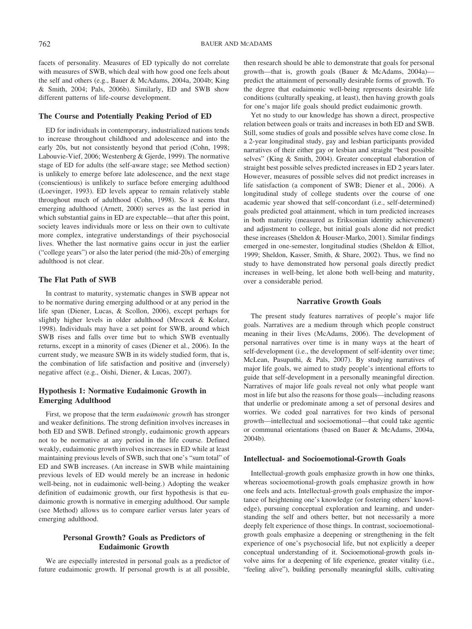facets of personality. Measures of ED typically do not correlate with measures of SWB, which deal with how good one feels about the self and others (e.g., Bauer & McAdams, 2004a, 2004b; King & Smith, 2004; Pals, 2006b). Similarly, ED and SWB show different patterns of life-course development.

# **The Course and Potentially Peaking Period of ED**

ED for individuals in contemporary, industrialized nations tends to increase throughout childhood and adolescence and into the early 20s, but not consistently beyond that period (Cohn, 1998; Labouvie-Vief, 2006; Westenberg & Gjerde, 1999). The normative stage of ED for adults (the self-aware stage; see Method section) is unlikely to emerge before late adolescence, and the next stage (conscientious) is unlikely to surface before emerging adulthood (Loevinger, 1993). ED levels appear to remain relatively stable throughout much of adulthood (Cohn, 1998). So it seems that emerging adulthood (Arnett, 2000) serves as the last period in which substantial gains in ED are expectable—that after this point, society leaves individuals more or less on their own to cultivate more complex, integrative understandings of their psychosocial lives. Whether the last normative gains occur in just the earlier ("college years") or also the later period (the mid-20s) of emerging adulthood is not clear.

# **The Flat Path of SWB**

In contrast to maturity, systematic changes in SWB appear not to be normative during emerging adulthood or at any period in the life span (Diener, Lucas, & Scollon, 2006), except perhaps for slightly higher levels in older adulthood (Mroczek & Kolarz, 1998). Individuals may have a set point for SWB, around which SWB rises and falls over time but to which SWB eventually returns, except in a minority of cases (Diener et al., 2006). In the current study, we measure SWB in its widely studied form, that is, the combination of life satisfaction and positive and (inversely) negative affect (e.g., Oishi, Diener, & Lucas, 2007).

# **Hypothesis 1: Normative Eudaimonic Growth in Emerging Adulthood**

First, we propose that the term *eudaimonic growth* has stronger and weaker definitions. The strong definition involves increases in both ED and SWB. Defined strongly, eudaimonic growth appears not to be normative at any period in the life course. Defined weakly, eudaimonic growth involves increases in ED while at least maintaining previous levels of SWB, such that one's "sum total" of ED and SWB increases. (An increase in SWB while maintaining previous levels of ED would merely be an increase in hedonic well-being, not in eudaimonic well-being.) Adopting the weaker definition of eudaimonic growth, our first hypothesis is that eudaimonic growth is normative in emerging adulthood. Our sample (see Method) allows us to compare earlier versus later years of emerging adulthood.

# **Personal Growth? Goals as Predictors of Eudaimonic Growth**

We are especially interested in personal goals as a predictor of future eudaimonic growth. If personal growth is at all possible, then research should be able to demonstrate that goals for personal growth—that is, growth goals (Bauer & McAdams, 2004a) predict the attainment of personally desirable forms of growth. To the degree that eudaimonic well-being represents desirable life conditions (culturally speaking, at least), then having growth goals for one's major life goals should predict eudaimonic growth.

Yet no study to our knowledge has shown a direct, prospective relation between goals or traits and increases in both ED and SWB. Still, some studies of goals and possible selves have come close. In a 2-year longitudinal study, gay and lesbian participants provided narratives of their either gay or lesbian and straight "best possible selves" (King & Smith, 2004). Greater conceptual elaboration of straight best possible selves predicted increases in ED 2 years later. However, measures of possible selves did not predict increases in life satisfaction (a component of SWB; Diener et al., 2006). A longitudinal study of college students over the course of one academic year showed that self-concordant (i.e., self-determined) goals predicted goal attainment, which in turn predicted increases in both maturity (measured as Eriksonian identity achievement) and adjustment to college, but initial goals alone did not predict these increases (Sheldon & Houser-Marko, 2001). Similar findings emerged in one-semester, longitudinal studies (Sheldon & Elliot, 1999; Sheldon, Kasser, Smith, & Share, 2002). Thus, we find no study to have demonstrated how personal goals directly predict increases in well-being, let alone both well-being and maturity, over a considerable period.

# **Narrative Growth Goals**

The present study features narratives of people's major life goals. Narratives are a medium through which people construct meaning in their lives (McAdams, 2006). The development of personal narratives over time is in many ways at the heart of self-development (i.e., the development of self-identity over time; McLean, Pasupathi, & Pals, 2007). By studying narratives of major life goals, we aimed to study people's intentional efforts to guide that self-development in a personally meaningful direction. Narratives of major life goals reveal not only what people want most in life but also the reasons for those goals—including reasons that underlie or predominate among a set of personal desires and worries. We coded goal narratives for two kinds of personal growth—intellectual and socioemotional—that could take agentic or communal orientations (based on Bauer & McAdams, 2004a, 2004b).

# **Intellectual- and Socioemotional-Growth Goals**

Intellectual-growth goals emphasize growth in how one thinks, whereas socioemotional-growth goals emphasize growth in how one feels and acts. Intellectual-growth goals emphasize the importance of heightening one's knowledge (or fostering others' knowledge), pursuing conceptual exploration and learning, and understanding the self and others better, but not necessarily a more deeply felt experience of those things. In contrast, socioemotionalgrowth goals emphasize a deepening or strengthening in the felt experience of one's psychosocial life, but not explicitly a deeper conceptual understanding of it. Socioemotional-growth goals involve aims for a deepening of life experience, greater vitality (i.e., "feeling alive"), building personally meaningful skills, cultivating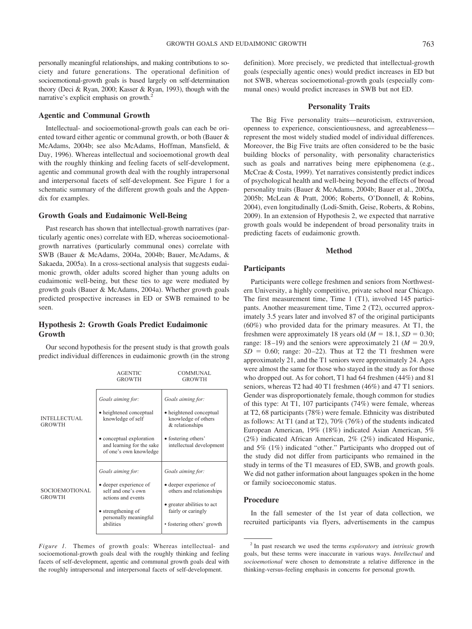personally meaningful relationships, and making contributions to society and future generations. The operational definition of socioemotional-growth goals is based largely on self-determination theory (Deci & Ryan, 2000; Kasser & Ryan, 1993), though with the narrative's explicit emphasis on growth.<sup>2</sup>

### **Agentic and Communal Growth**

Intellectual- and socioemotional-growth goals can each be oriented toward either agentic or communal growth, or both (Bauer & McAdams, 2004b; see also McAdams, Hoffman, Mansfield, & Day, 1996). Whereas intellectual and socioemotional growth deal with the roughly thinking and feeling facets of self-development, agentic and communal growth deal with the roughly intrapersonal and interpersonal facets of self-development. See Figure 1 for a schematic summary of the different growth goals and the Appendix for examples.

#### **Growth Goals and Eudaimonic Well-Being**

Past research has shown that intellectual-growth narratives (particularly agentic ones) correlate with ED, whereas socioemotionalgrowth narratives (particularly communal ones) correlate with SWB (Bauer & McAdams, 2004a, 2004b; Bauer, McAdams, & Sakaeda, 2005a). In a cross-sectional analysis that suggests eudaimonic growth, older adults scored higher than young adults on eudaimonic well-being, but these ties to age were mediated by growth goals (Bauer & McAdams, 2004a). Whether growth goals predicted prospective increases in ED or SWB remained to be seen.

# **Hypothesis 2: Growth Goals Predict Eudaimonic Growth**

Our second hypothesis for the present study is that growth goals predict individual differences in eudaimonic growth (in the strong

|                                      | <b>AGENTIC</b><br><b>GROWTH</b>                                                 | <b>COMMUNAL</b><br><b>GROWTH</b>                                                       |  |  |  |  |
|--------------------------------------|---------------------------------------------------------------------------------|----------------------------------------------------------------------------------------|--|--|--|--|
| <b>INTELLECTUAL</b><br><b>GROWTH</b> | Goals aiming for:<br>• heightened conceptual<br>knowledge of self               | Goals aiming for:<br>• heightened conceptual<br>knowledge of others<br>& relationships |  |  |  |  |
|                                      | • conceptual exploration<br>and learning for the sake<br>of one's own knowledge | • fostering others'<br>intellectual development                                        |  |  |  |  |
|                                      | Goals aiming for:                                                               | Goals aiming for:                                                                      |  |  |  |  |
| SOCIOEMOTIONAL<br><b>GROWTH</b>      | • deeper experience of<br>self and one's own<br>actions and events              | • deeper experience of<br>others and relationships                                     |  |  |  |  |
|                                      | • strengthening of<br>personally meaningful                                     | • greater abilities to act<br>fairly or caringly                                       |  |  |  |  |
|                                      | abilities                                                                       | • fostering others' growth                                                             |  |  |  |  |

*Figure 1.* Themes of growth goals: Whereas intellectual- and socioemotional-growth goals deal with the roughly thinking and feeling facets of self-development, agentic and communal growth goals deal with the roughly intrapersonal and interpersonal facets of self-development.

definition). More precisely, we predicted that intellectual-growth goals (especially agentic ones) would predict increases in ED but not SWB, whereas socioemotional-growth goals (especially communal ones) would predict increases in SWB but not ED.

## **Personality Traits**

The Big Five personality traits—neuroticism, extraversion, openness to experience, conscientiousness, and agreeableness represent the most widely studied model of individual differences. Moreover, the Big Five traits are often considered to be the basic building blocks of personality, with personality characteristics such as goals and narratives being mere epiphenomena (e.g., McCrae & Costa, 1999). Yet narratives consistently predict indices of psychological health and well-being beyond the effects of broad personality traits (Bauer & McAdams, 2004b; Bauer et al., 2005a, 2005b; McLean & Pratt, 2006; Roberts, O'Donnell, & Robins, 2004), even longitudinally (Lodi-Smith, Geise, Roberts, & Robins, 2009). In an extension of Hypothesis 2, we expected that narrative growth goals would be independent of broad personality traits in predicting facets of eudaimonic growth.

## **Method**

# **Participants**

Participants were college freshmen and seniors from Northwestern University, a highly competitive, private school near Chicago. The first measurement time, Time 1 (T1), involved 145 participants. Another measurement time, Time 2 (T2), occurred approximately 3.5 years later and involved 87 of the original participants (60%) who provided data for the primary measures. At T1, the freshmen were approximately 18 years old  $(M = 18.1, SD = 0.30;$ range:  $18-19$ ) and the seniors were approximately 21 ( $M = 20.9$ ,  $SD = 0.60$ ; range: 20–22). Thus at T2 the T1 freshmen were approximately 21, and the T1 seniors were approximately 24. Ages were almost the same for those who stayed in the study as for those who dropped out. As for cohort, T1 had 64 freshmen (44%) and 81 seniors, whereas T2 had 40 T1 freshmen (46%) and 47 T1 seniors. Gender was disproportionately female, though common for studies of this type: At T1, 107 participants (74%) were female, whereas at T2, 68 participants (78%) were female. Ethnicity was distributed as follows: At T1 (and at T2), 70% (76%) of the students indicated European American, 19% (18%) indicated Asian American, 5% (2%) indicated African American, 2% (2%) indicated Hispanic, and 5% (1%) indicated "other." Participants who dropped out of the study did not differ from participants who remained in the study in terms of the T1 measures of ED, SWB, and growth goals. We did not gather information about languages spoken in the home or family socioeconomic status.

## **Procedure**

In the fall semester of the 1st year of data collection, we recruited participants via flyers, advertisements in the campus

<sup>2</sup> In past research we used the terms *exploratory* and *intrinsic* growth goals, but these terms were inaccurate in various ways. *Intellectual* and *socioemotional* were chosen to demonstrate a relative difference in the thinking-versus-feeling emphasis in concerns for personal growth.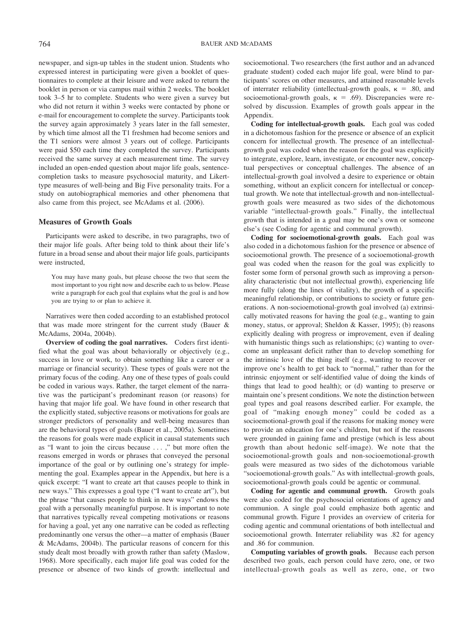newspaper, and sign-up tables in the student union. Students who expressed interest in participating were given a booklet of questionnaires to complete at their leisure and were asked to return the booklet in person or via campus mail within 2 weeks. The booklet took 3–5 hr to complete. Students who were given a survey but who did not return it within 3 weeks were contacted by phone or e-mail for encouragement to complete the survey. Participants took the survey again approximately 3 years later in the fall semester, by which time almost all the T1 freshmen had become seniors and the T1 seniors were almost 3 years out of college. Participants were paid \$50 each time they completed the survey. Participants received the same survey at each measurement time. The survey included an open-ended question about major life goals, sentencecompletion tasks to measure psychosocial maturity, and Likerttype measures of well-being and Big Five personality traits. For a study on autobiographical memories and other phenomena that also came from this project, see McAdams et al. (2006).

## **Measures of Growth Goals**

Participants were asked to describe, in two paragraphs, two of their major life goals. After being told to think about their life's future in a broad sense and about their major life goals, participants were instructed,

You may have many goals, but please choose the two that seem the most important to you right now and describe each to us below. Please write a paragraph for each goal that explains what the goal is and how you are trying to or plan to achieve it.

Narratives were then coded according to an established protocol that was made more stringent for the current study (Bauer & McAdams, 2004a, 2004b).

**Overview of coding the goal narratives.** Coders first identified what the goal was about behaviorally or objectively (e.g., success in love or work, to obtain something like a career or a marriage or financial security). These types of goals were not the primary focus of the coding. Any one of these types of goals could be coded in various ways. Rather, the target element of the narrative was the participant's predominant reason (or reasons) for having that major life goal. We have found in other research that the explicitly stated, subjective reasons or motivations for goals are stronger predictors of personality and well-being measures than are the behavioral types of goals (Bauer et al., 2005a). Sometimes the reasons for goals were made explicit in causal statements such as "I want to join the circus because . . . ," but more often the reasons emerged in words or phrases that conveyed the personal importance of the goal or by outlining one's strategy for implementing the goal. Examples appear in the Appendix, but here is a quick excerpt: "I want to create art that causes people to think in new ways." This expresses a goal type ("I want to create art"), but the phrase "that causes people to think in new ways" endows the goal with a personally meaningful purpose. It is important to note that narratives typically reveal competing motivations or reasons for having a goal, yet any one narrative can be coded as reflecting predominantly one versus the other—a matter of emphasis (Bauer & McAdams, 2004b). The particular reasons of concern for this study dealt most broadly with growth rather than safety (Maslow, 1968). More specifically, each major life goal was coded for the presence or absence of two kinds of growth: intellectual and socioemotional. Two researchers (the first author and an advanced graduate student) coded each major life goal, were blind to participants' scores on other measures, and attained reasonable levels of interrater reliability (intellectual-growth goals,  $\kappa = .80$ , and socioemotional-growth goals,  $\kappa = .69$ ). Discrepancies were resolved by discussion. Examples of growth goals appear in the Appendix.

**Coding for intellectual-growth goals.** Each goal was coded in a dichotomous fashion for the presence or absence of an explicit concern for intellectual growth. The presence of an intellectualgrowth goal was coded when the reason for the goal was explicitly to integrate, explore, learn, investigate, or encounter new, conceptual perspectives or conceptual challenges. The absence of an intellectual-growth goal involved a desire to experience or obtain something, without an explicit concern for intellectual or conceptual growth. We note that intellectual-growth and non-intellectualgrowth goals were measured as two sides of the dichotomous variable "intellectual-growth goals." Finally, the intellectual growth that is intended in a goal may be one's own or someone else's (see Coding for agentic and communal growth).

**Coding for socioemotional-growth goals.** Each goal was also coded in a dichotomous fashion for the presence or absence of socioemotional growth. The presence of a socioemotional-growth goal was coded when the reason for the goal was explicitly to foster some form of personal growth such as improving a personality characteristic (but not intellectual growth), experiencing life more fully (along the lines of vitality), the growth of a specific meaningful relationship, or contributions to society or future generations. A non-socioemotional-growth goal involved (a) extrinsically motivated reasons for having the goal (e.g., wanting to gain money, status, or approval; Sheldon & Kasser, 1995); (b) reasons explicitly dealing with progress or improvement, even if dealing with humanistic things such as relationships; (c) wanting to overcome an unpleasant deficit rather than to develop something for the intrinsic love of the thing itself (e.g., wanting to recover or improve one's health to get back to "normal," rather than for the intrinsic enjoyment or self-identified value of doing the kinds of things that lead to good health); or (d) wanting to preserve or maintain one's present conditions. We note the distinction between goal types and goal reasons described earlier. For example, the goal of "making enough money" could be coded as a socioemotional-growth goal if the reasons for making money were to provide an education for one's children, but not if the reasons were grounded in gaining fame and prestige (which is less about growth than about hedonic self-image). We note that the socioemotional-growth goals and non-socioemotional-growth goals were measured as two sides of the dichotomous variable "socioemotional-growth goals." As with intellectual-growth goals, socioemotional-growth goals could be agentic or communal.

**Coding for agentic and communal growth.** Growth goals were also coded for the psychosocial orientations of agency and communion. A single goal could emphasize both agentic and communal growth. Figure 1 provides an overview of criteria for coding agentic and communal orientations of both intellectual and socioemotional growth. Interrater reliability was .82 for agency and .86 for communion.

**Computing variables of growth goals.** Because each person described two goals, each person could have zero, one, or two intellectual-growth goals as well as zero, one, or two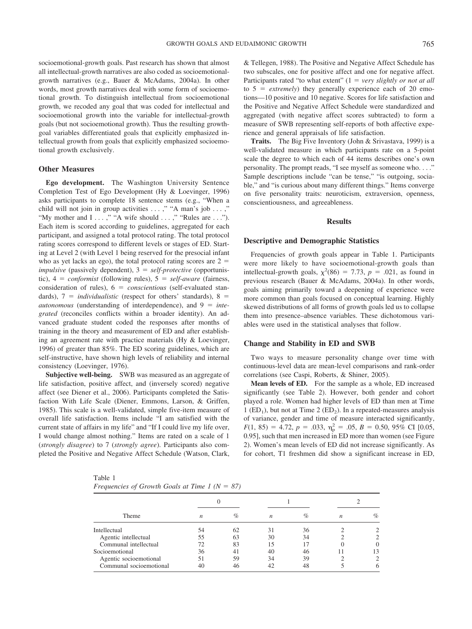socioemotional-growth goals. Past research has shown that almost all intellectual-growth narratives are also coded as socioemotionalgrowth narratives (e.g., Bauer & McAdams, 2004a). In other words, most growth narratives deal with some form of socioemotional growth. To distinguish intellectual from socioemotional growth, we recoded any goal that was coded for intellectual and socioemotional growth into the variable for intellectual-growth goals (but not socioemotional growth). Thus the resulting growthgoal variables differentiated goals that explicitly emphasized intellectual growth from goals that explicitly emphasized socioemotional growth exclusively.

# **Other Measures**

**Ego development.** The Washington University Sentence Completion Test of Ego Development (Hy & Loevinger, 1996) asks participants to complete 18 sentence stems (e.g., "When a child will not join in group activities . . . ," "A man's job . . . ," "My mother and I . . . ," "A wife should . . . ," "Rules are . . ."). Each item is scored according to guidelines, aggregated for each participant, and assigned a total protocol rating. The total protocol rating scores correspond to different levels or stages of ED. Starting at Level 2 (with Level 1 being reserved for the presocial infant who as yet lacks an ego), the total protocol rating scores are  $2 =$ *impulsive* (passively dependent),  $3 = self-protective$  (opportunistic),  $4 = \text{conformist}$  (following rules),  $5 = \text{self-aware}$  (fairness, consideration of rules),  $6 =$  *conscientious* (self-evaluated standards),  $7 =$  *individualistic* (respect for others' standards),  $8 =$ *autonomous* (understanding of interdependence), and 9 *integrated* (reconciles conflicts within a broader identity). An advanced graduate student coded the responses after months of training in the theory and measurement of ED and after establishing an agreement rate with practice materials (Hy & Loevinger, 1996) of greater than 85%. The ED scoring guidelines, which are self-instructive, have shown high levels of reliability and internal consistency (Loevinger, 1976).

**Subjective well-being.** SWB was measured as an aggregate of life satisfaction, positive affect, and (inversely scored) negative affect (see Diener et al., 2006). Participants completed the Satisfaction With Life Scale (Diener, Emmons, Larson, & Griffen, 1985). This scale is a well-validated, simple five-item measure of overall life satisfaction. Items include "I am satisfied with the current state of affairs in my life" and "If I could live my life over, I would change almost nothing." Items are rated on a scale of 1 (*strongly disagree*) to 7 (*strongly agree*). Participants also completed the Positive and Negative Affect Schedule (Watson, Clark, & Tellegen, 1988). The Positive and Negative Affect Schedule has two subscales, one for positive affect and one for negative affect. Participants rated "to what extent" (1 = very slightly or not at all to  $5$  = *extremely*) they generally experience each of 20 emotions—10 positive and 10 negative. Scores for life satisfaction and the Positive and Negative Affect Schedule were standardized and aggregated (with negative affect scores subtracted) to form a measure of SWB representing self-reports of both affective experience and general appraisals of life satisfaction.

**Traits.** The Big Five Inventory (John & Srivastava, 1999) is a well-validated measure in which participants rate on a 5-point scale the degree to which each of 44 items describes one's own personality. The prompt reads, "I see myself as someone who. . . ." Sample descriptions include "can be tense," "is outgoing, sociable," and "is curious about many different things." Items converge on five personality traits: neuroticism, extraversion, openness, conscientiousness, and agreeableness.

# **Results**

#### **Descriptive and Demographic Statistics**

Frequencies of growth goals appear in Table 1. Participants were more likely to have socioemotional-growth goals than intellectual-growth goals,  $\chi^2(86) = 7.73$ ,  $p = .021$ , as found in previous research (Bauer & McAdams, 2004a). In other words, goals aiming primarily toward a deepening of experience were more common than goals focused on conceptual learning. Highly skewed distributions of all forms of growth goals led us to collapse them into presence–absence variables. These dichotomous variables were used in the statistical analyses that follow.

#### **Change and Stability in ED and SWB**

Two ways to measure personality change over time with continuous-level data are mean-level comparisons and rank-order correlations (see Caspi, Roberts, & Shiner, 2005).

**Mean levels of ED.** For the sample as a whole, ED increased significantly (see Table 2). However, both gender and cohort played a role. Women had higher levels of ED than men at Time 1 (ED<sub>1</sub>), but not at Time 2 (ED<sub>2</sub>). In a repeated-measures analysis of variance, gender and time of measure interacted significantly,  $F(1, 85) = 4.72, p = .033, \eta_{\rm p}^2 = .05, B = 0.50, 95\%$  CI [0.05, 0.95], such that men increased in ED more than women (see Figure 2). Women's mean levels of ED did not increase significantly. As for cohort, T1 freshmen did show a significant increase in ED,

Table 1

|  | Frequencies of Growth Goals at Time 1 ( $N = 87$ ) |  |  |
|--|----------------------------------------------------|--|--|
|  |                                                    |  |  |

| Theme                   | n  | $\%$ | n  | $\%$ | n | $\%$ |  |
|-------------------------|----|------|----|------|---|------|--|
| Intellectual            | 54 | 62   | 31 | 36   |   |      |  |
| Agentic intellectual    | 55 | 63   | 30 | 34   |   |      |  |
| Communal intellectual   | 72 | 83   | 15 |      |   | 0    |  |
| Socioemotional          | 36 | 41   | 40 | 46   |   | 13   |  |
| Agentic socioemotional  | 51 | 59   | 34 | 39   |   |      |  |
| Communal socioemotional | 40 | 46   | 42 | 48   |   |      |  |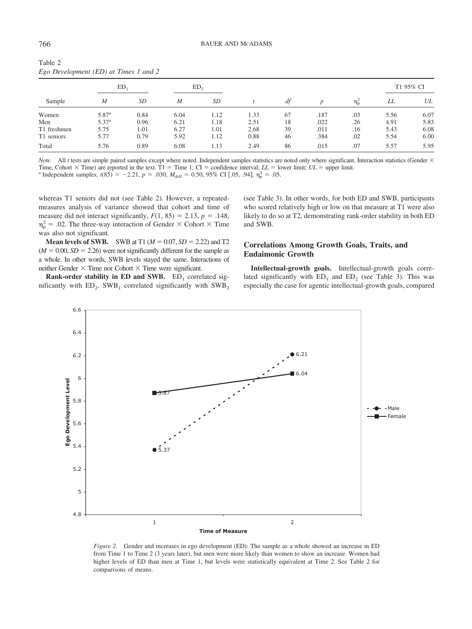| $\cdots$<br>. |                   |           |                  |           |      |    |      |                |           |      |
|---------------|-------------------|-----------|------------------|-----------|------|----|------|----------------|-----------|------|
| Sample        | ED,               |           | ED,              |           |      |    |      |                | T1 95% CI |      |
|               | M                 | <i>SD</i> | $\boldsymbol{M}$ | <i>SD</i> |      | df |      | $\eta_{\rm p}$ | LL        | UL   |
| Women         | 5.87 <sup>a</sup> | 0.84      | 6.04             | 1.12      | 1.33 | 67 | .187 | .03            | 5.56      | 6.07 |
| Men           | $5.37^{a}$        | 0.96      | 6.21             | 1.18      | 2.51 | 18 | .022 | .26            | 4.91      | 5.83 |
| T1 freshmen   | 5.75              | 1.01      | 6.27             | 1.01      | 2.68 | 39 | .011 | .16            | 5.43      | 6.08 |
| T1 seniors    | 5.77              | 0.79      | 5.92             | 1.12      | 0.88 | 46 | .384 | .02            | 5.54      | 6.00 |
| Total         | 5.76              | 0.89      | 6.08             | 1.13      | 2.49 | 86 | .015 | .07            | 5.57      | 5.95 |
|               |                   |           |                  |           |      |    |      |                |           |      |

Table 2 *Ego Development (ED) at Times 1 and 2*

*Note.* All *t* tests are simple paired samples except where noted. Independent samples statistics are noted only where significant. Interaction statistics (Gender  $\times$ Time, Cohort  $\times$  Time) are reported in the text. T1 = Time 1; CI = confidence interval; LL = lower limit; UL = upper limit. <sup>a</sup> Independent samples,  $t(85) = -2.21$ ,  $p = .030$ ,  $M_{\text{diff}} = 0.50$ , 95% CI [.05, .94],  $\eta_p^2 = .05$ .

whereas T1 seniors did not (see Table 2). However, a repeatedmeasures analysis of variance showed that cohort and time of measure did not interact significantly,  $F(1, 85) = 2.13$ ,  $p = .148$ ,  $\eta_{\rm p}^2$  = .02. The three-way interaction of Gender  $\times$  Cohort  $\times$  Time was also not significant.

**Mean levels of SWB.** SWB at T1 ( $M = 0.07$ ,  $SD = 2.22$ ) and T2  $(M = 0.00, SD = 2.26)$  were not significantly different for the sample as a whole. In other words, SWB levels stayed the same. Interactions of neither Gender  $\times$  Time nor Cohort  $\times$  Time were significant.

**Rank-order stability in ED and SWB.**  $ED_1$  correlated significantly with  $ED_2$ . SWB<sub>1</sub> correlated significantly with SWB<sub>2</sub> (see Table 3). In other words, for both ED and SWB, participants who scored relatively high or low on that measure at T1 were also likely to do so at T2, demonstrating rank-order stability in both ED and SWB.

# **Correlations Among Growth Goals, Traits, and Eudaimonic Growth**

**Intellectual-growth goals.** Intellectual-growth goals correlated significantly with  $ED_1$  and  $ED_2$  (see Table 3). This was especially the case for agentic intellectual-growth goals, compared



*Figure 2.* Gender and increases in ego development (ED): The sample as a whole showed an increase in ED from Time 1 to Time 2 (3 years later), but men were more likely than women to show an increase. Women had higher levels of ED than men at Time 1, but levels were statistically equivalent at Time 2. See Table 2 for comparisons of means.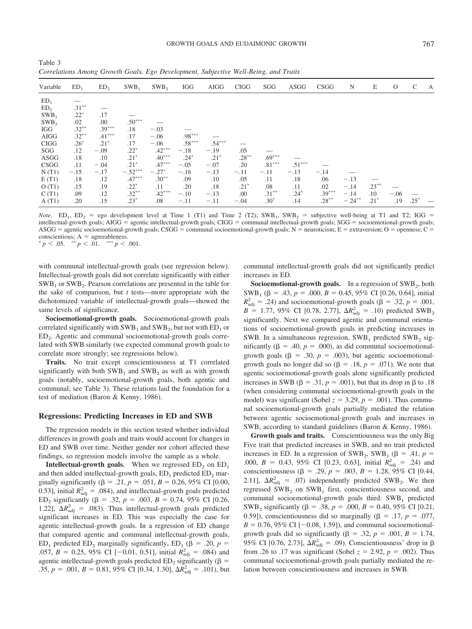| Variable         | ED <sub>1</sub> | ED <sub>2</sub> | $SWB_1$   | SWB <sub>2</sub> | <b>IGG</b>           | AIGG     | <b>CIGG</b> | SGG      | ASGG     | CSGG     | N         | E        | $\mathcal{O}$ | C      | A |
|------------------|-----------------|-----------------|-----------|------------------|----------------------|----------|-------------|----------|----------|----------|-----------|----------|---------------|--------|---|
| ED <sub>1</sub>  |                 |                 |           |                  |                      |          |             |          |          |          |           |          |               |        |   |
| ED <sub>2</sub>  | $.31***$        |                 |           |                  |                      |          |             |          |          |          |           |          |               |        |   |
| $SWB_1$          | $.22*$          | .17             |           |                  |                      |          |             |          |          |          |           |          |               |        |   |
| SWB <sub>2</sub> | .02             | .00             | $.50***$  |                  |                      |          |             |          |          |          |           |          |               |        |   |
| IGG              | $.32***$        | $.39***$        | .18       | $-.03$           |                      |          |             |          |          |          |           |          |               |        |   |
| <b>AIGG</b>      | $.32***$        | $.41***$        | .17       | $-.06$           | $.98***$             |          |             |          |          |          |           |          |               |        |   |
| <b>CIGG</b>      | $.26*$          | $.21*$          | .17       | $-.06$           | $.58^{\ast\ast\ast}$ | $.54***$ |             |          |          |          |           |          |               |        |   |
| SGG              | .12             | $-.09$          | $.22*$    | $.42***$         | $-.18$               | $-.19$   | .05         |          |          |          |           |          |               |        |   |
| ASGG             | .18             | .10             | $.21*$    | $.40***$         | $.24*$               | $.21*$   | $.28***$    | $.69***$ |          |          |           |          |               |        |   |
| CSGG             | .11             | $-.04$          | $.21*$    | $.47***$         | $-.05$               | $-.07$   | .20         | $.81***$ | $.51***$ |          |           |          |               |        |   |
| N(T1)            | $-.15$          | $-.17$          | $-.52***$ | $-.27*$          | $-.16$               | $-.13$   | $-.11$      | $-.11$   | $-.13$   | $-.14$   |           |          |               |        |   |
| E(T1)            | .18             | .12             | $.47***$  | $.30***$         | .09                  | .10      | .05         | .11      | .18      | .06      | $-.13$    |          |               |        |   |
| O(T1)            | .15             | .19             | $.22*$    | .11              | .20                  | .18      | $.21*$      | .08      | .11      | .02      | $-.14$    | $.23***$ |               |        |   |
| C(T1)            | .09             | .12             | $.32***$  | $.42***$         | $-.10$               | $-.13$   | .00         | $.31***$ | $.24*$   | $.39***$ | $-.14$    | $.10\,$  | $-.06$        |        |   |
| A(T1)            | .20             | .15             | $.23*$    | .08              | $-.11$               | $-.11$   | $-.04$      | $.30*$   | .14      | $.28***$ | $-.24***$ | $.21*$   | .19           | $.25*$ |   |

Table 3 *Correlations Among Growth Goals, Ego Development, Subjective Well-Being, and Traits*

*Note.* ED<sub>1</sub>, ED<sub>2</sub> = ego development level at Time 1 (T1) and Time 2 (T2); SWB<sub>1</sub>, SWB<sub>2</sub> = subjective well-being at T1 and T2; IGG = intellectual-growth goals; AIGG = agentic intellectual-growth goals; CIGG = communal intellectual-growth goals; SGG = socioemotional-growth goals; ASGG = agentic socioemotional-growth goals; CSGG = communal socioemotional-growth goals; N = neuroticism; E = extraversion; O = openness; C = conscientious; A = agreeableness.<br> *p* < .05.  $\binom{**}{p}$  < .01.  $\binom{***}{p}$  < .001.

with communal intellectual-growth goals (see regression below). Intellectual-growth goals did not correlate significantly with either  $SWB<sub>1</sub>$  or  $SWB<sub>2</sub>$ . Pearson correlations are presented in the table for the sake of comparison, but *t* tests—more appropriate with the dichotomized variable of intellectual-growth goals—showed the same levels of significance.

**Socioemotional-growth goals.** Socioemotional-growth goals correlated significantly with  $SWB_1$  and  $SWB_2$ , but not with  $ED_1$  or ED<sub>2</sub>. Agentic and communal socioemotional-growth goals correlated with SWB similarly (we expected communal growth goals to correlate more strongly; see regressions below).

**Traits.** No trait except conscientiousness at T1 correlated significantly with both  $SWB_1$  and  $SWB_2$  as well as with growth goals (notably, socioemotional-growth goals, both agentic and communal; see Table 3). These relations laid the foundation for a test of mediation (Baron & Kenny, 1986).

#### **Regressions: Predicting Increases in ED and SWB**

The regression models in this section tested whether individual differences in growth goals and traits would account for changes in ED and SWB over time. Neither gender nor cohort affected these findings, so regression models involve the sample as a whole.

**Intellectual-growth goals.** When we regressed ED<sub>2</sub> on ED<sub>1</sub> and then added intellectual-growth goals,  $ED_1$  predicted  $ED_2$  marginally significantly ( $\beta = .21$ ,  $p = .051$ ,  $B = 0.26$ , 95% CI [0.00, 0.53], initial  $R_{\text{adj}}^2 = 0.084$ , and intellectual-growth goals predicted ED<sub>2</sub> significantly ( $\beta$  = .32,  $p$  = .003,  $B$  = 0.74, 95% CI [0.26, 1.22],  $\Delta R_{\text{adj}}^2$  = .083). Thus intellectual-growth goals predicted significant increases in ED. This was especially the case for agentic intellectual-growth goals. In a regression of ED change that compared agentic and communal intellectual-growth goals, ED<sub>1</sub> predicted ED<sub>2</sub> marginally significantly, ED<sub>1</sub> ( $\beta$  = .20,  $p$  = .057,  $B = 0.25$ , 95% CI [-0.01, 0.51], initial  $R_{\text{adj}}^2 = .084$ ) and agentic intellectual-growth goals predicted  $ED_2$  significantly ( $\beta$  = .35,  $p = .001$ ,  $B = 0.81$ , 95% CI [0.34, 1.30],  $\Delta R_{\text{adj}}^2 = .101$ , but communal intellectual-growth goals did not significantly predict increases in ED.

**Socioemotional-growth goals.** In a regression of SWB<sub>2</sub>, both SWB<sub>1</sub> ( $\beta$  = .43,  $p$  = .000,  $B$  = 0.45, 95% CI [0.26, 0.64], initial  $R_{\text{adj}}^2$  = .24) and socioemotional-growth goals ( $\beta$  = .32, *p* = .001,  $B = 1.77, 95\%$  CI [0.78, 2.77],  $\Delta R_{\text{adj}}^2 = .10$ ) predicted SWB<sub>2</sub> significantly. Next we compared agentic and communal orientations of socioemotional-growth goals in predicting increases in SWB. In a simultaneous regression,  $SWB_1$  predicted  $SWB_2$  significantly ( $\beta = .40$ ,  $p = .000$ ), as did communal socioemotionalgrowth goals ( $\beta = .30$ ,  $p = .003$ ), but agentic socioemotionalgrowth goals no longer did so  $(\beta = .18, p = .071)$ . We note that agentic socioemotional-growth goals alone significantly predicted increases in SWB ( $\beta = .31$ ,  $p = .001$ ), but that its drop in  $\beta$  to .18 (when considering communal socioemotional-growth goals in the model) was significant (Sobel  $z = 3.29$ ,  $p = .001$ ). Thus communal socioemotional-growth goals partially mediated the relation between agentic socioemotional-growth goals and increases in SWB, according to standard guidelines (Baron & Kenny, 1986).

**Growth goals and traits.** Conscientiousness was the only Big Five trait that predicted increases in SWB, and no trait predicted increases in ED. In a regression of SWB<sub>2</sub>, SWB<sub>1</sub> ( $\beta$  = .41,  $p$  = .000,  $B = 0.43$ , 95% CI [0.23, 0.63], initial  $R_{\text{adj}}^2 = .24$ ) and conscientiousness ( $\beta$  = .29,  $p$  = .003,  $B$  = 1.28, 95% CI [0.44, 2.11],  $\Delta R_{\text{adj}}^2 = .07$ ) independently predicted SWB<sub>2</sub>. We then regressed  $SWB_2$  on  $SWB_1$  first, conscientiousness second, and communal socioemotional-growth goals third:  $SWB<sub>1</sub>$  predicted SWB<sub>2</sub> significantly ( $\beta = .38$ ,  $p = .000$ ,  $B = 0.40$ , 95% CI [0.21, 0.59]), conscientiousness did so marginally ( $\beta$  = .17,  $p$  = .077,  $B = 0.76, 95\% \text{ CI } [-0.08, 1.59]$ , and communal socioemotionalgrowth goals did so significantly ( $\beta = .32$ ,  $p = .001$ ,  $B = 1.74$ , 95% CI [0.76, 2.73],  $\Delta R_{\text{adj}}^2 = .09$ ). Conscientiousness' drop in  $\beta$ from .26 to .17 was significant (Sobel  $z = 2.92$ ,  $p = .002$ ). Thus communal socioemotional-growth goals partially mediated the relation between conscientiousness and increases in SWB.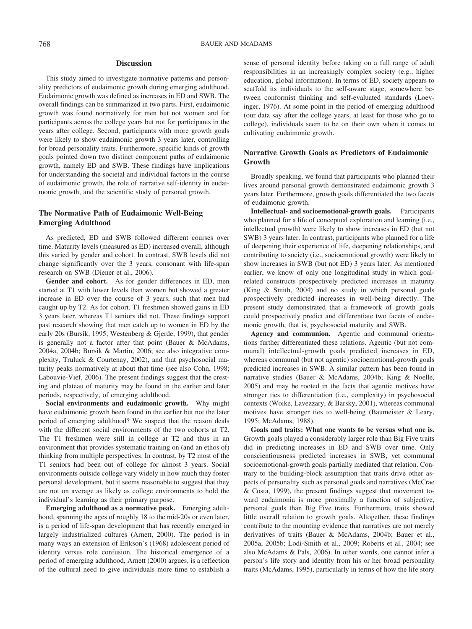# **Discussion**

This study aimed to investigate normative patterns and personality predictors of eudaimonic growth during emerging adulthood. Eudaimonic growth was defined as increases in ED and SWB. The overall findings can be summarized in two parts. First, eudaimonic growth was found normatively for men but not women and for participants across the college years but not for participants in the years after college. Second, participants with more growth goals were likely to show eudaimonic growth 3 years later, controlling for broad personality traits. Furthermore, specific kinds of growth goals pointed down two distinct component paths of eudaimonic growth, namely ED and SWB. These findings have implications for understanding the societal and individual factors in the course of eudaimonic growth, the role of narrative self-identity in eudaimonic growth, and the scientific study of personal growth.

# **The Normative Path of Eudaimonic Well-Being Emerging Adulthood**

As predicted, ED and SWB followed different courses over time. Maturity levels (measured as ED) increased overall, although this varied by gender and cohort. In contrast, SWB levels did not change significantly over the 3 years, consonant with life-span research on SWB (Diener et al., 2006).

**Gender and cohort.** As for gender differences in ED, men started at T1 with lower levels than women but showed a greater increase in ED over the course of 3 years, such that men had caught up by T2. As for cohort, T1 freshmen showed gains in ED 3 years later, whereas T1 seniors did not. These findings support past research showing that men catch up to women in ED by the early 20s (Bursik, 1995; Westenberg & Gjerde, 1999), that gender is generally not a factor after that point (Bauer & McAdams, 2004a, 2004b; Bursik & Martin, 2006; see also integrative complexity, Truluck & Courtenay, 2002), and that psychosocial maturity peaks normatively at about that time (see also Cohn, 1998; Labouvie-Vief, 2006). The present findings suggest that the cresting and plateau of maturity may be found in the earlier and later periods, respectively, of emerging adulthood.

**Social environments and eudaimonic growth.** Why might have eudaimonic growth been found in the earlier but not the later period of emerging adulthood? We suspect that the reason deals with the different social environments of the two cohorts at T2. The T1 freshmen were still in college at T2 and thus in an environment that provides systematic training on (and an ethos of) thinking from multiple perspectives. In contrast, by T2 most of the T1 seniors had been out of college for almost 3 years. Social environments outside college vary widely in how much they foster personal development, but it seems reasonable to suggest that they are not on average as likely as college environments to hold the individual's learning as their primary purpose.

**Emerging adulthood as a normative peak.** Emerging adulthood, spanning the ages of roughly 18 to the mid-20s or even later, is a period of life-span development that has recently emerged in largely industrialized cultures (Arnett, 2000). The period is in many ways an extension of Erikson's (1968) adolescent period of identity versus role confusion. The historical emergence of a period of emerging adulthood, Arnett (2000) argues, is a reflection of the cultural need to give individuals more time to establish a sense of personal identity before taking on a full range of adult responsibilities in an increasingly complex society (e.g., higher education, global information). In terms of ED, society appears to scaffold its individuals to the self-aware stage, somewhere between conformist thinking and self-evaluated standards (Loevinger, 1976). At some point in the period of emerging adulthood (our data say after the college years, at least for those who go to college), individuals seem to be on their own when it comes to cultivating eudaimonic growth.

# **Narrative Growth Goals as Predictors of Eudaimonic Growth**

Broadly speaking, we found that participants who planned their lives around personal growth demonstrated eudaimonic growth 3 years later. Furthermore, growth goals differentiated the two facets of eudaimonic growth.

**Intellectual- and socioemotional-growth goals.** Participants who planned for a life of conceptual exploration and learning (*i.e.*, intellectual growth) were likely to show increases in ED (but not SWB) 3 years later. In contrast, participants who planned for a life of deepening their experience of life, deepening relationships, and contributing to society (i.e., socioemotional growth) were likely to show increases in SWB (but not ED) 3 years later. As mentioned earlier, we know of only one longitudinal study in which goalrelated constructs prospectively predicted increases in maturity (King & Smith, 2004) and no study in which personal goals prospectively predicted increases in well-being directly. The present study demonstrated that a framework of growth goals could prospectively predict and differentiate two facets of eudaimonic growth, that is, psychosocial maturity and SWB.

**Agency and communion.** Agentic and communal orientations further differentiated these relations. Agentic (but not communal) intellectual-growth goals predicted increases in ED, whereas communal (but not agentic) socioemotional-growth goals predicted increases in SWB. A similar pattern has been found in narrative studies (Bauer & McAdams, 2004b; King & Noelle, 2005) and may be rooted in the facts that agentic motives have stronger ties to differentiation (i.e., complexity) in psychosocial contexts (Woike, Lavezzary, & Barsky, 2001), whereas communal motives have stronger ties to well-being (Baumeister & Leary, 1995; McAdams, 1988).

**Goals and traits: What one wants to be versus what one is.** Growth goals played a considerably larger role than Big Five traits did in predicting increases in ED and SWB over time. Only conscientiousness predicted increases in SWB, yet communal socioemotional-growth goals partially mediated that relation. Contrary to the building-block assumption that traits drive other aspects of personality such as personal goals and narratives (McCrae & Costa, 1999), the present findings suggest that movement toward eudaimonia is more proximally a function of subjective, personal goals than Big Five traits. Furthermore, traits showed little overall relation to growth goals. Altogether, these findings contribute to the mounting evidence that narratives are not merely derivatives of traits (Bauer & McAdams, 2004b; Bauer et al., 2005a, 2005b; Lodi-Smith et al., 2009; Roberts et al., 2004; see also McAdams & Pals, 2006). In other words, one cannot infer a person's life story and identity from his or her broad personality traits (McAdams, 1995), particularly in terms of how the life story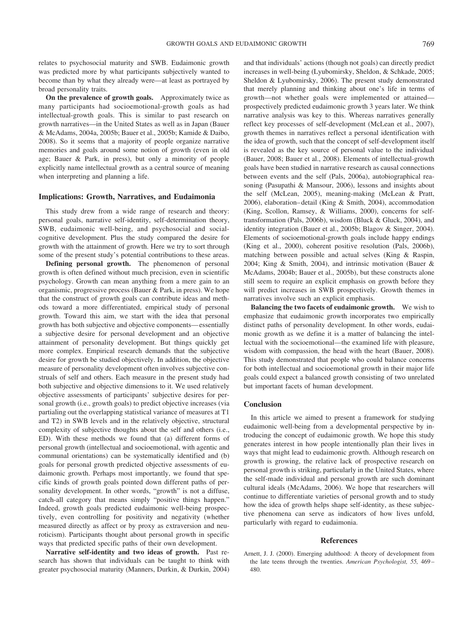relates to psychosocial maturity and SWB. Eudaimonic growth was predicted more by what participants subjectively wanted to become than by what they already were—at least as portrayed by broad personality traits.

**On the prevalence of growth goals.** Approximately twice as many participants had socioemotional-growth goals as had intellectual-growth goals. This is similar to past research on growth narratives—in the United States as well as in Japan (Bauer & McAdams, 2004a, 2005b; Bauer et al., 2005b; Kamide & Daibo, 2008). So it seems that a majority of people organize narrative memories and goals around some notion of growth (even in old age; Bauer & Park, in press), but only a minority of people explicitly name intellectual growth as a central source of meaning when interpreting and planning a life.

# **Implications: Growth, Narratives, and Eudaimonia**

This study drew from a wide range of research and theory: personal goals, narrative self-identity, self-determination theory, SWB, eudaimonic well-being, and psychosocial and socialcognitive development. Plus the study compared the desire for growth with the attainment of growth. Here we try to sort through some of the present study's potential contributions to these areas.

**Defining personal growth.** The phenomenon of personal growth is often defined without much precision, even in scientific psychology. Growth can mean anything from a mere gain to an organismic, progressive process (Bauer & Park, in press). We hope that the construct of growth goals can contribute ideas and methods toward a more differentiated, empirical study of personal growth. Toward this aim, we start with the idea that personal growth has both subjective and objective components— essentially a subjective desire for personal development and an objective attainment of personality development. But things quickly get more complex. Empirical research demands that the subjective desire for growth be studied objectively. In addition, the objective measure of personality development often involves subjective construals of self and others. Each measure in the present study had both subjective and objective dimensions to it. We used relatively objective assessments of participants' subjective desires for personal growth (i.e., growth goals) to predict objective increases (via partialing out the overlapping statistical variance of measures at T1 and T2) in SWB levels and in the relatively objective, structural complexity of subjective thoughts about the self and others (i.e., ED). With these methods we found that (a) different forms of personal growth (intellectual and socioemotional, with agentic and communal orientations) can be systematically identified and (b) goals for personal growth predicted objective assessments of eudaimonic growth. Perhaps most importantly, we found that specific kinds of growth goals pointed down different paths of personality development. In other words, "growth" is not a diffuse, catch-all category that means simply "positive things happen." Indeed, growth goals predicted eudaimonic well-being prospectively, even controlling for positivity and negativity (whether measured directly as affect or by proxy as extraversion and neuroticism). Participants thought about personal growth in specific ways that predicted specific paths of their own development.

**Narrative self-identity and two ideas of growth.** Past research has shown that individuals can be taught to think with greater psychosocial maturity (Manners, Durkin, & Durkin, 2004) and that individuals' actions (though not goals) can directly predict increases in well-being (Lyubomirsky, Sheldon, & Schkade, 2005; Sheldon & Lyubomirsky, 2006). The present study demonstrated that merely planning and thinking about one's life in terms of growth—not whether goals were implemented or attained prospectively predicted eudaimonic growth 3 years later. We think narrative analysis was key to this. Whereas narratives generally reflect key processes of self-development (McLean et al., 2007), growth themes in narratives reflect a personal identification with the idea of growth, such that the concept of self-development itself is revealed as the key source of personal value to the individual (Bauer, 2008; Bauer et al., 2008). Elements of intellectual-growth goals have been studied in narrative research as causal connections between events and the self (Pals, 2006a), autobiographical reasoning (Pasupathi & Mansour, 2006), lessons and insights about the self (McLean, 2005), meaning-making (McLean & Pratt, 2006), elaboration– detail (King & Smith, 2004), accommodation (King, Scollon, Ramsey, & Williams, 2000), concerns for selftransformation (Pals, 2006b), wisdom (Bluck & Gluck, 2004), and identity integration (Bauer et al., 2005b; Blagov & Singer, 2004). Elements of socioemotional-growth goals include happy endings (King et al., 2000), coherent positive resolution (Pals, 2006b), matching between possible and actual selves (King & Raspin, 2004; King & Smith, 2004), and intrinsic motivation (Bauer & McAdams, 2004b; Bauer et al., 2005b), but these constructs alone still seem to require an explicit emphasis on growth before they will predict increases in SWB prospectively. Growth themes in narratives involve such an explicit emphasis.

**Balancing the two facets of eudaimonic growth.** We wish to emphasize that eudaimonic growth incorporates two empirically distinct paths of personality development. In other words, eudaimonic growth as we define it is a matter of balancing the intellectual with the socioemotional—the examined life with pleasure, wisdom with compassion, the head with the heart (Bauer, 2008). This study demonstrated that people who could balance concerns for both intellectual and socioemotional growth in their major life goals could expect a balanced growth consisting of two unrelated but important facets of human development.

#### **Conclusion**

In this article we aimed to present a framework for studying eudaimonic well-being from a developmental perspective by introducing the concept of eudaimonic growth. We hope this study generates interest in how people intentionally plan their lives in ways that might lead to eudaimonic growth. Although research on growth is growing, the relative lack of prospective research on personal growth is striking, particularly in the United States, where the self-made individual and personal growth are such dominant cultural ideals (McAdams, 2006). We hope that researchers will continue to differentiate varieties of personal growth and to study how the idea of growth helps shape self-identity, as these subjective phenomena can serve as indicators of how lives unfold, particularly with regard to eudaimonia.

## **References**

Arnett, J. J. (2000). Emerging adulthood: A theory of development from the late teens through the twenties. *American Psychologist, 55,* 469 – 480.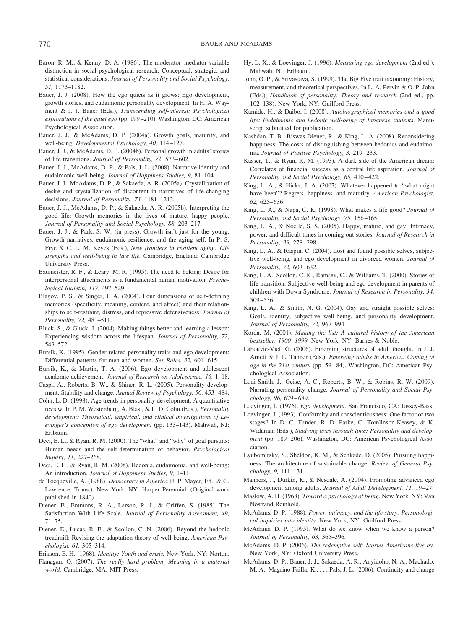- Baron, R. M., & Kenny, D. A. (1986). The moderator–mediator variable distinction in social psychological research: Conceptual, strategic, and statistical considerations. *Journal of Personality and Social Psychology, 51,* 1173–1182.
- Bauer, J. J. (2008). How the ego quiets as it grows: Ego development, growth stories, and eudaimonic personality development. In H. A. Wayment & J. J. Bauer (Eds.), *Transcending self-interest: Psychological explorations of the quiet ego* (pp. 199 –210). Washington, DC: American Psychological Association.
- Bauer, J. J., & McAdams, D. P. (2004a). Growth goals, maturity, and well-being. *Developmental Psychology, 40,* 114 –127.
- Bauer, J. J., & McAdams, D. P. (2004b). Personal growth in adults' stories of life transitions. *Journal of Personality, 72,* 573– 602.
- Bauer, J. J., McAdams, D. P., & Pals, J. L. (2008). Narrative identity and eudaimonic well-being. *Journal of Happiness Studies, 9,* 81–104.
- Bauer, J. J., McAdams, D. P., & Sakaeda, A. R. (2005a). Crystallization of desire and crystallization of discontent in narratives of life-changing decisions. *Journal of Personality, 73,* 1181–1213.
- Bauer, J. J., McAdams, D. P., & Sakaeda, A. R. (2005b). Interpreting the good life: Growth memories in the lives of mature, happy people. *Journal of Personality and Social Psychology, 88,* 203–217.
- Bauer, J. J., & Park, S. W. (in press). Growth isn't just for the young: Growth narratives, eudaimonic resilience, and the aging self. In P. S. Frye & C. L. M. Keyes (Eds.), *New frontiers in resilient aging: Life strengths and well-being in late life.* Cambridge, England: Cambridge University Press.
- Baumeister, R. F., & Leary, M. R. (1995). The need to belong: Desire for interpersonal attachments as a fundamental human motivation. *Psychological Bulletin, 117,* 497–529.
- Blagov, P. S., & Singer, J. A. (2004). Four dimensions of self-defining memories (specificity, meaning, content, and affect) and their relationships to self-restraint, distress, and repressive defensiveness. *Journal of Personality, 72,* 481–511.
- Bluck, S., & Gluck, J. (2004). Making things better and learning a lesson: Experiencing wisdom across the lifespan. *Journal of Personality, 72,* 543–572.
- Bursik, K. (1995). Gender-related personality traits and ego development: Differential patterns for men and women. *Sex Roles*, 32, 601–615.
- Bursik, K., & Martin, T. A. (2006). Ego development and adolescent academic achievement. *Journal of Research on Adolescence, 16,* 1–18.
- Caspi, A., Roberts, B. W., & Shiner, R. L. (2005). Personality development: Stability and change. *Annual Review of Psychology, 56,* 453– 484.
- Cohn, L. D. (1998). Age trends in personality development: A quantitative review. In P. M. Westenberg, A. Blasi, & L. D. Cohn (Eds.), *Personality development: Theoretical, empirical, and clinical investigations of Loevinger's conception of ego development* (pp. 133–143). Mahwah, NJ: Erlbaum.
- Deci, E. L., & Ryan, R. M. (2000). The "what" and "why" of goal pursuits: Human needs and the self-determination of behavior. *Psychological Inquiry, 11,* 227–268.
- Deci, E. L., & Ryan, R. M. (2008). Hedonia, eudaimonia, and well-being: An introduction. *Journal of Happiness Studies, 9,* 1–11.
- de Tocqueville, A. (1988). *Democracy in America* (J. P. Mayer, Ed., & G. Lawrence, Trans.). New York, NY: Harper Perennial. (Original work published in 1840)
- Diener, E., Emmons, R. A., Larson, R. J., & Griffen, S. (1985). The Satisfaction With Life Scale. *Journal of Personality Assessment, 49,* 71–75.
- Diener, E., Lucas, R. E., & Scollon, C. N. (2006). Beyond the hedonic treadmill: Revising the adaptation theory of well-being. *American Psychologist, 61,* 305–314.
- Erikson, E. H. (1968). *Identity: Youth and crisis.* New York, NY: Norton.
- Flanagan, O. (2007). *The really hard problem: Meaning in a material world.* Cambridge, MA: MIT Press.
- Hy, L. X., & Loevinger, J. (1996). *Measuring ego development* (2nd ed.). Mahwah, NJ: Erlbaum.
- John, O. P., & Srivastava, S. (1999). The Big Five trait taxonomy: History, measurement, and theoretical perspectives. In L. A. Pervin & O. P. John (Eds.), *Handbook of personality: Theory and research* (2nd ed., pp. 102–138). New York, NY: Guilford Press.
- Kamide, H., & Daibo, I. (2008). *Autobiographical memories and a good life: Eudaimonic and hedonic well-being of Japanese students.* Manuscript submitted for publication.
- Kashdan, T. B., Biswas-Diener, R., & King, L. A. (2008). Reconsidering happiness: The costs of distinguishing between hedonics and eudaimonia. *Journal of Positive Psychology, 3,* 219 –233.
- Kasser, T., & Ryan, R. M. (1993). A dark side of the American dream: Correlates of financial success as a central life aspiration. *Journal of* Personality and Social Psychology, 65, 410-422.
- King, L. A., & Hicks, J. A. (2007). Whatever happened to "what might have been"? Regrets, happiness, and maturity. *American Psychologist, 62,* 625– 636.
- King, L. A., & Napa, C. K. (1998). What makes a life good? *Journal of Personality and Social Psychology, 75,* 156 –165.
- King, L. A., & Noelle, S. S. (2005). Happy, mature, and gay: Intimacy, power, and difficult times in coming out stories. *Journal of Research in Personality, 39,* 278 –298.
- King, L. A., & Raspin, C. (2004). Lost and found possible selves, subjective well-being, and ego development in divorced women. *Journal of Personality, 72,* 603– 632.
- King, L. A., Scollon, C. K., Ramsey, C., & Williams, T. (2000). Stories of life transition: Subjective well-being and ego development in parents of children with Down Syndrome. *Journal of Research in Personality, 34,* 509 –536.
- King, L. A., & Smith, N. G. (2004). Gay and straight possible selves: Goals, identity, subjective well-being, and personality development. *Journal of Personality, 72,* 967–994.
- Korda, M. (2001). *Making the list: A cultural history of the American bestseller, 1900 –1999.* New York, NY: Barnes & Noble.
- Labouvie-Vief, G. (2006). Emerging structures of adult thought. In J. J. Arnett & J. L. Tanner (Eds.), *Emerging adults in America: Coming of age in the 21st century* (pp. 59 – 84). Washington, DC: American Psychological Association.
- Lodi-Smith, J., Geise, A. C., Roberts, B. W., & Robins, R. W. (2009). Narrating personality change. *Journal of Personality and Social Psychology, 96,* 679 – 689.
- Loevinger, J. (1976). *Ego development.* San Francisco, CA: Jossey-Bass.
- Loevinger, J. (1993). Conformity and conscientiousness: One factor or two stages? In D. C. Funder, R. D. Parke, C. Tomlinson-Keasey, & K. Widaman (Eds.), *Studying lives through time: Personality and development* (pp. 189 –206). Washington, DC: American Psychological Association.
- Lyubomirsky, S., Sheldon, K. M., & Schkade, D. (2005). Pursuing happiness: The architecture of sustainable change. *Review of General Psychology, 9,* 111–131.
- Manners, J., Durkin, K., & Nesdale, A. (2004). Promoting advanced ego development among adults. *Journal of Adult Development, 11,* 19 –27.
- Maslow, A. H. (1968). *Toward a psychology of being.* New York, NY: Van Nostrand Reinhold.
- McAdams, D. P. (1988). *Power, intimacy, and the life story: Personological inquiries into identity.* New York, NY: Guilford Press.
- McAdams, D. P. (1995). What do we know when we know a person? *Journal of Personality, 63,* 365–396.
- McAdams, D. P. (2006). *The redemptive self: Stories Americans live by.* New York, NY: Oxford University Press.
- McAdams, D. P., Bauer, J. J., Sakaeda, A. R., Anyidoho, N. A., Machado, M. A., Magrino-Failla, K., . . . Pals, J. L. (2006). Continuity and change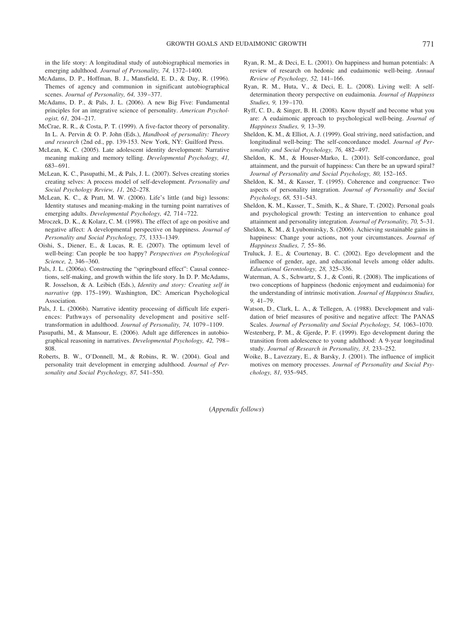in the life story: A longitudinal study of autobiographical memories in emerging adulthood. *Journal of Personality, 74,* 1372–1400.

- McAdams, D. P., Hoffman, B. J., Mansfield, E. D., & Day, R. (1996). Themes of agency and communion in significant autobiographical scenes. *Journal of Personality, 64,* 339 –377.
- McAdams, D. P., & Pals, J. L. (2006). A new Big Five: Fundamental principles for an integrative science of personality. *American Psychologist, 61,* 204 –217.
- McCrae, R. R., & Costa, P. T. (1999). A five-factor theory of personality. In L. A. Pervin & O. P. John (Eds.), *Handbook of personality: Theory and research* (2nd ed., pp. 139-153. New York, NY: Guilford Press.
- McLean, K. C. (2005). Late adolescent identity development: Narrative meaning making and memory telling. *Developmental Psychology, 41,* 683– 691.
- McLean, K. C., Pasupathi, M., & Pals, J. L. (2007). Selves creating stories creating selves: A process model of self-development. *Personality and Social Psychology Review, 11,* 262–278.
- McLean, K. C., & Pratt, M. W. (2006). Life's little (and big) lessons: Identity statuses and meaning-making in the turning point narratives of emerging adults. *Developmental Psychology, 42,* 714 –722.
- Mroczek, D. K., & Kolarz, C. M. (1998). The effect of age on positive and negative affect: A developmental perspective on happiness. *Journal of Personality and Social Psychology, 75,* 1333–1349.
- Oishi, S., Diener, E., & Lucas, R. E. (2007). The optimum level of well-being: Can people be too happy? *Perspectives on Psychological Science, 2,* 346 –360.
- Pals, J. L. (2006a). Constructing the "springboard effect": Causal connections, self-making, and growth within the life story. In D. P. McAdams, R. Josselson, & A. Leibich (Eds.), *Identity and story: Creating self in narrative* (pp. 175–199). Washington, DC: American Psychological Association.
- Pals, J. L. (2006b). Narrative identity processing of difficult life experiences: Pathways of personality development and positive selftransformation in adulthood. *Journal of Personality, 74,* 1079 –1109.
- Pasupathi, M., & Mansour, E. (2006). Adult age differences in autobiographical reasoning in narratives. *Developmental Psychology, 42,* 798 – 808.
- Roberts, B. W., O'Donnell, M., & Robins, R. W. (2004). Goal and personality trait development in emerging adulthood. *Journal of Personality and Social Psychology, 87,* 541–550.
- Ryan, R. M., & Deci, E. L. (2001). On happiness and human potentials: A review of research on hedonic and eudaimonic well-being. *Annual Review of Psychology, 52,* 141–166.
- Ryan, R. M., Huta, V., & Deci, E. L. (2008). Living well: A selfdetermination theory perspective on eudaimonia. *Journal of Happiness Studies, 9,* 139 –170.
- Ryff, C. D., & Singer, B. H. (2008). Know thyself and become what you are: A eudaimonic approach to psychological well-being. *Journal of Happiness Studies, 9,* 13–39.
- Sheldon, K. M., & Elliot, A. J. (1999). Goal striving, need satisfaction, and longitudinal well-being: The self-concordance model. *Journal of Personality and Social Psychology, 76,* 482– 497.
- Sheldon, K. M., & Houser-Marko, L. (2001). Self-concordance, goal attainment, and the pursuit of happiness: Can there be an upward spiral? *Journal of Personality and Social Psychology, 80,* 152–165.
- Sheldon, K. M., & Kasser, T. (1995). Coherence and congruence: Two aspects of personality integration. *Journal of Personality and Social Psychology, 68,* 531–543.
- Sheldon, K. M., Kasser, T., Smith, K., & Share, T. (2002). Personal goals and psychological growth: Testing an intervention to enhance goal attainment and personality integration. *Journal of Personality, 70,* 5–31.
- Sheldon, K. M., & Lyubomirsky, S. (2006). Achieving sustainable gains in happiness: Change your actions, not your circumstances. *Journal of Happiness Studies, 7,* 55– 86.
- Truluck, J. E., & Courtenay, B. C. (2002). Ego development and the influence of gender, age, and educational levels among older adults. *Educational Gerontology, 28,* 325–336.
- Waterman, A. S., Schwartz, S. J., & Conti, R. (2008). The implications of two conceptions of happiness (hedonic enjoyment and eudaimonia) for the understanding of intrinsic motivation. *Journal of Happiness Studies, 9,* 41–79.
- Watson, D., Clark, L. A., & Tellegen, A. (1988). Development and validation of brief measures of positive and negative affect: The PANAS Scales. *Journal of Personality and Social Psychology, 54,* 1063–1070.
- Westenberg, P. M., & Gjerde, P. F. (1999). Ego development during the transition from adolescence to young adulthood: A 9-year longitudinal study. *Journal of Research in Personality, 33,* 233–252.
- Woike, B., Lavezzary, E., & Barsky, J. (2001). The influence of implicit motives on memory processes. *Journal of Personality and Social Psychology, 81,* 935–945.

(*Appendix follows*)